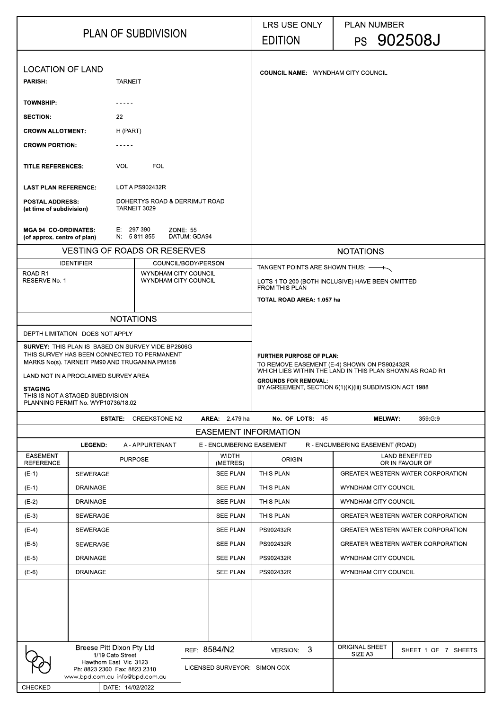| <b>PLAN OF SUBDIVISION</b>                                                                                                                                                                                                                             |                           |                  |                                               | <b>LRS USE ONLY</b><br><b>EDITION</b>                                                                                                                                                                                                |                          | <b>PLAN NUMBER</b>                                                 | PS 902508J |                                  |                                          |
|--------------------------------------------------------------------------------------------------------------------------------------------------------------------------------------------------------------------------------------------------------|---------------------------|------------------|-----------------------------------------------|--------------------------------------------------------------------------------------------------------------------------------------------------------------------------------------------------------------------------------------|--------------------------|--------------------------------------------------------------------|------------|----------------------------------|------------------------------------------|
| <b>LOCATION OF LAND</b>                                                                                                                                                                                                                                |                           |                  |                                               | <b>COUNCIL NAME: WYNDHAM CITY COUNCIL</b>                                                                                                                                                                                            |                          |                                                                    |            |                                  |                                          |
| <b>PARISH:</b>                                                                                                                                                                                                                                         |                           | <b>TARNEIT</b>   |                                               |                                                                                                                                                                                                                                      |                          |                                                                    |            |                                  |                                          |
| <b>TOWNSHIP:</b>                                                                                                                                                                                                                                       |                           |                  |                                               |                                                                                                                                                                                                                                      |                          |                                                                    |            |                                  |                                          |
| <b>SECTION:</b>                                                                                                                                                                                                                                        |                           | 22               |                                               |                                                                                                                                                                                                                                      |                          |                                                                    |            |                                  |                                          |
| <b>CROWN ALLOTMENT:</b>                                                                                                                                                                                                                                |                           | H (PART)         |                                               |                                                                                                                                                                                                                                      |                          |                                                                    |            |                                  |                                          |
| <b>CROWN PORTION:</b>                                                                                                                                                                                                                                  |                           |                  |                                               |                                                                                                                                                                                                                                      |                          |                                                                    |            |                                  |                                          |
| <b>TITLE REFERENCES:</b>                                                                                                                                                                                                                               |                           | <b>VOL</b>       | <b>FOL</b>                                    |                                                                                                                                                                                                                                      |                          |                                                                    |            |                                  |                                          |
| <b>LAST PLAN REFERENCE:</b>                                                                                                                                                                                                                            |                           |                  | LOT A PS902432R                               |                                                                                                                                                                                                                                      |                          |                                                                    |            |                                  |                                          |
| <b>POSTAL ADDRESS:</b><br>(at time of subdivision)                                                                                                                                                                                                     |                           |                  | DOHERTYS ROAD & DERRIMUT ROAD<br>TARNEIT 3029 |                                                                                                                                                                                                                                      |                          |                                                                    |            |                                  |                                          |
| <b>MGA 94 CO-ORDINATES:</b><br>(of approx. centre of plan)                                                                                                                                                                                             |                           | E: 297 390       | N 5811855                                     | <b>ZONE: 55</b><br>DATUM: GDA94                                                                                                                                                                                                      |                          |                                                                    |            |                                  |                                          |
|                                                                                                                                                                                                                                                        |                           |                  | <b>VESTING OF ROADS OR RESERVES</b>           |                                                                                                                                                                                                                                      |                          |                                                                    |            | <b>NOTATIONS</b>                 |                                          |
| ROAD <sub>R1</sub>                                                                                                                                                                                                                                     | <b>IDENTIFIER</b>         |                  | <b>WYNDHAM CITY COUNCIL</b>                   | COUNCIL/BODY/PERSON                                                                                                                                                                                                                  |                          | TANGENT POINTS ARE SHOWN THUS: — A                                 |            |                                  |                                          |
| RESERVE No. 1                                                                                                                                                                                                                                          |                           |                  | WYNDHAM CITY COUNCIL                          |                                                                                                                                                                                                                                      |                          | LOTS 1 TO 200 (BOTH INCLUSIVE) HAVE BEEN OMITTED<br>FROM THIS PLAN |            |                                  |                                          |
|                                                                                                                                                                                                                                                        |                           |                  |                                               |                                                                                                                                                                                                                                      |                          | <b>TOTAL ROAD AREA: 1.057 ha</b>                                   |            |                                  |                                          |
|                                                                                                                                                                                                                                                        |                           |                  | <b>NOTATIONS</b>                              |                                                                                                                                                                                                                                      |                          |                                                                    |            |                                  |                                          |
| DEPTH LIMITATION DOES NOT APPLY                                                                                                                                                                                                                        |                           |                  |                                               |                                                                                                                                                                                                                                      |                          |                                                                    |            |                                  |                                          |
| <b>SURVEY: THIS PLAN IS BASED ON SURVEY VIDE BP2806G</b><br>THIS SURVEY HAS BEEN CONNECTED TO PERMANENT<br>MARKS No(s). TARNEIT PM90 AND TRUGANINA PM158<br>LAND NOT IN A PROCLAIMED SURVEY AREA<br><b>STAGING</b><br>THIS IS NOT A STAGED SUBDIVISION |                           |                  |                                               | <b>FURTHER PURPOSE OF PLAN:</b><br>TO REMOVE EASEMENT (E-4) SHOWN ON PS902432R<br>WHICH LIES WITHIN THE LAND IN THIS PLAN SHOWN AS ROAD R1<br><b>GROUNDS FOR REMOVAL:</b><br>BY AGREEMENT, SECTION 6(1)(K)(iii) SUBDIVISION ACT 1988 |                          |                                                                    |            |                                  |                                          |
| PLANNING PERMIT No. WYP10736/18.02                                                                                                                                                                                                                     |                           | <b>ESTATE:</b>   | <b>CREEKSTONE N2</b>                          |                                                                                                                                                                                                                                      | <b>AREA</b> 2.479 ha     | No. OF LOTS: 45                                                    |            | <b>MELWAY</b>                    | 359 G 9                                  |
|                                                                                                                                                                                                                                                        |                           |                  |                                               |                                                                                                                                                                                                                                      |                          | <b>EASEMENT INFORMATION</b>                                        |            |                                  |                                          |
|                                                                                                                                                                                                                                                        | <b>LEGEND:</b>            |                  | A - APPURTENANT                               |                                                                                                                                                                                                                                      | E - ENCUMBERING EASEMENT |                                                                    |            | R - ENCUMBERING EASEMENT (ROAD)  |                                          |
| <b>EASEMENT</b><br><b>REFERENCE</b>                                                                                                                                                                                                                    |                           | <b>PURPOSE</b>   |                                               |                                                                                                                                                                                                                                      | <b>WIDTH</b><br>(METRES) | <b>ORIGIN</b>                                                      |            |                                  | <b>LAND BENEFITED</b><br>OR IN FAVOUR OF |
| $(E-1)$                                                                                                                                                                                                                                                | <b>SEWERAGE</b>           |                  |                                               |                                                                                                                                                                                                                                      | <b>SEE PLAN</b>          | <b>THIS PLAN</b>                                                   |            |                                  | <b>GREATER WESTERN WATER CORPORATION</b> |
| $(E-1)$                                                                                                                                                                                                                                                | <b>DRAINAGE</b>           |                  |                                               |                                                                                                                                                                                                                                      | <b>SEE PLAN</b>          | THIS PLAN                                                          |            | <b>WYNDHAM CITY COUNCIL</b>      |                                          |
| $(E-2)$                                                                                                                                                                                                                                                | <b>DRAINAGE</b>           |                  |                                               |                                                                                                                                                                                                                                      | <b>SEE PLAN</b>          | <b>THIS PLAN</b>                                                   |            | <b>WYNDHAM CITY COUNCIL</b>      |                                          |
| $(E-3)$                                                                                                                                                                                                                                                | <b>SEWERAGE</b>           |                  |                                               |                                                                                                                                                                                                                                      | <b>SEE PLAN</b>          | <b>THIS PLAN</b>                                                   |            |                                  | <b>GREATER WESTERN WATER CORPORATION</b> |
| $(E-4)$                                                                                                                                                                                                                                                | <b>SEWERAGE</b>           |                  |                                               |                                                                                                                                                                                                                                      | <b>SEE PLAN</b>          | PS902432R                                                          |            |                                  | <b>GREATER WESTERN WATER CORPORATION</b> |
| $(E-5)$                                                                                                                                                                                                                                                | <b>SEWERAGE</b>           |                  |                                               |                                                                                                                                                                                                                                      | <b>SEE PLAN</b>          | PS902432R                                                          |            |                                  | <b>GREATER WESTERN WATER CORPORATION</b> |
| $(E-5)$                                                                                                                                                                                                                                                | <b>DRAINAGE</b>           |                  |                                               |                                                                                                                                                                                                                                      | <b>SEE PLAN</b>          | PS902432R                                                          |            | WYNDHAM CITY COUNCIL             |                                          |
| $(E-6)$                                                                                                                                                                                                                                                | <b>DRAINAGE</b>           |                  |                                               |                                                                                                                                                                                                                                      | <b>SEE PLAN</b>          | PS902432R                                                          |            | <b>WYNDHAM CITY COUNCIL</b>      |                                          |
|                                                                                                                                                                                                                                                        |                           |                  |                                               |                                                                                                                                                                                                                                      |                          |                                                                    |            |                                  |                                          |
|                                                                                                                                                                                                                                                        | Breese Pitt Dixon Pty Ltd |                  |                                               |                                                                                                                                                                                                                                      | REF 8584/N2              | VERSION: 3                                                         |            | <b>ORIGINAL SHEET</b><br>SIZE A3 | SHEET 1 OF 7 SHEETS                      |
| 1/19 Cato Street<br>Hawthorn East Vic 3123<br>Ph: 8823 2300 Fax: 8823 2310<br>www.bpd.com.au info@bpd.com.au                                                                                                                                           |                           |                  |                                               | LICENSED SURVEYOR: SIMON COX                                                                                                                                                                                                         |                          |                                                                    |            |                                  |                                          |
| <b>CHECKED</b>                                                                                                                                                                                                                                         |                           | DATE: 14/02/2022 |                                               |                                                                                                                                                                                                                                      |                          |                                                                    |            |                                  |                                          |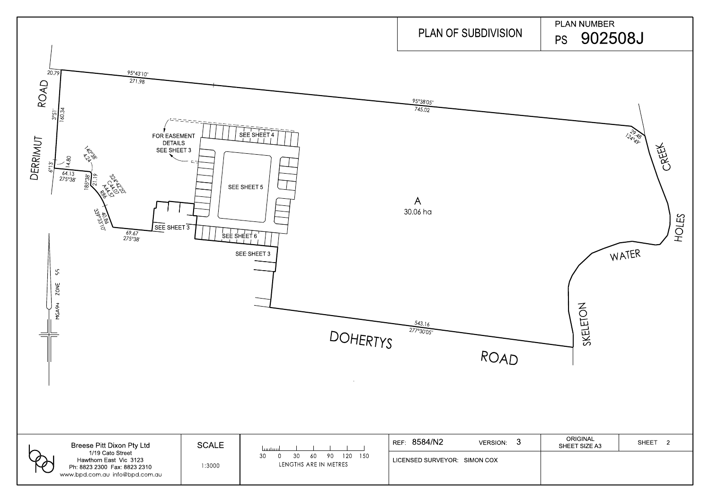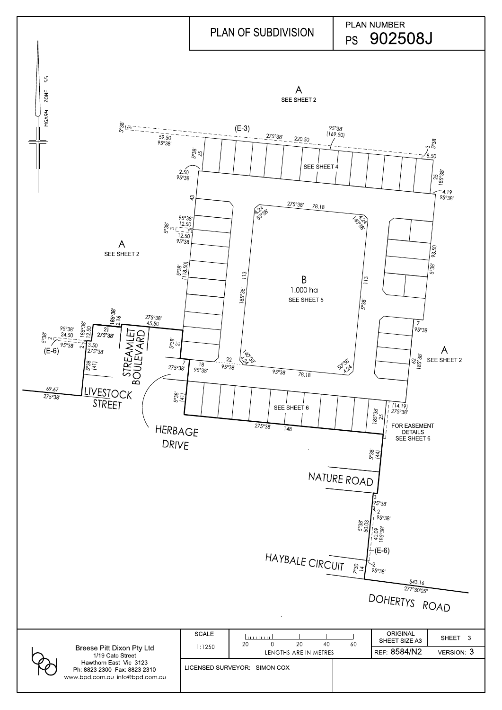|                                                                                          |                    | HAYBALE CIRCUIT 27               | । $4\overline{\otimes}$<br>$+(E-6)$<br>~2<br>95°38′<br>543.16 |           |
|------------------------------------------------------------------------------------------|--------------------|----------------------------------|---------------------------------------------------------------|-----------|
|                                                                                          |                    |                                  | 277°30'05"<br>DOHERTYS ROAD                                   |           |
|                                                                                          | <b>SCALE</b>       | عيبينسيا<br>20<br>40<br>20<br>60 | <b>ORIGINAL</b><br>SHEET SIZE A3                              | SHEET 3   |
| <b>Breese Pitt Dixon Pty Ltd</b><br>1/19 Cato Street                                     | 1:1250             | 0<br>LENGTHS ARE IN METRES       | REF 8584/N2                                                   | VERSION 3 |
| Hawthorn East Vic 3123<br>Ph: 8823 2300 Fax: 8823 2310<br>www.bpd.com.au info@bpd.com.au | LICENSED SURVEYOR: | <b>SIMON COX</b>                 |                                                               |           |

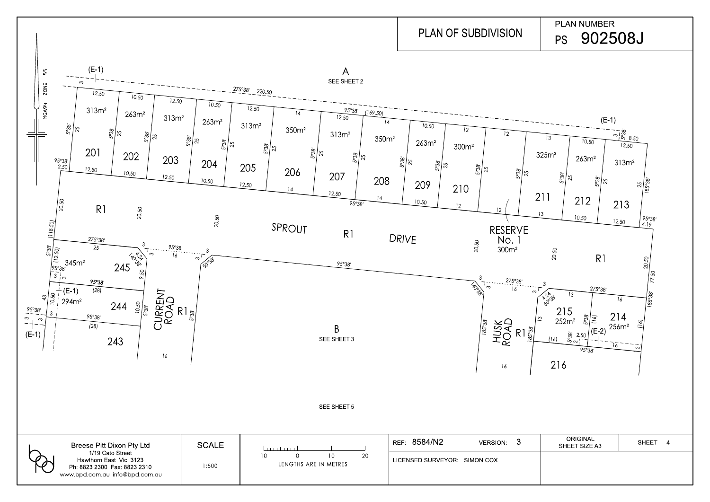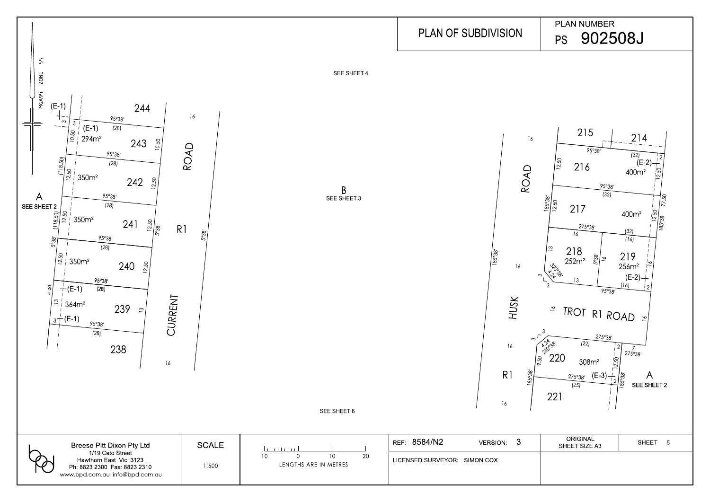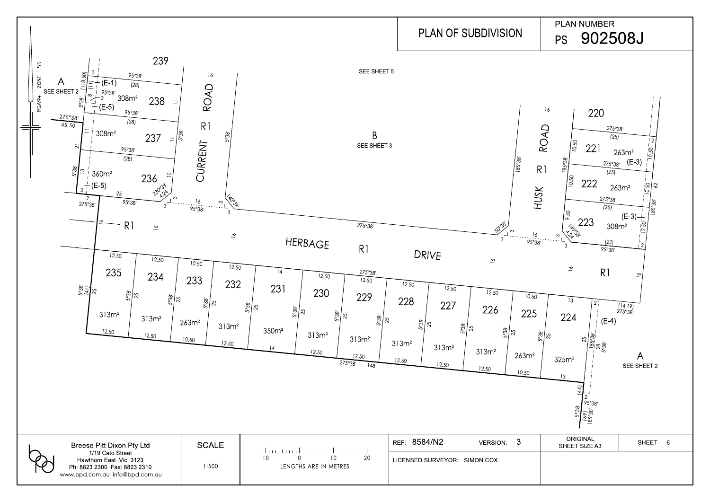